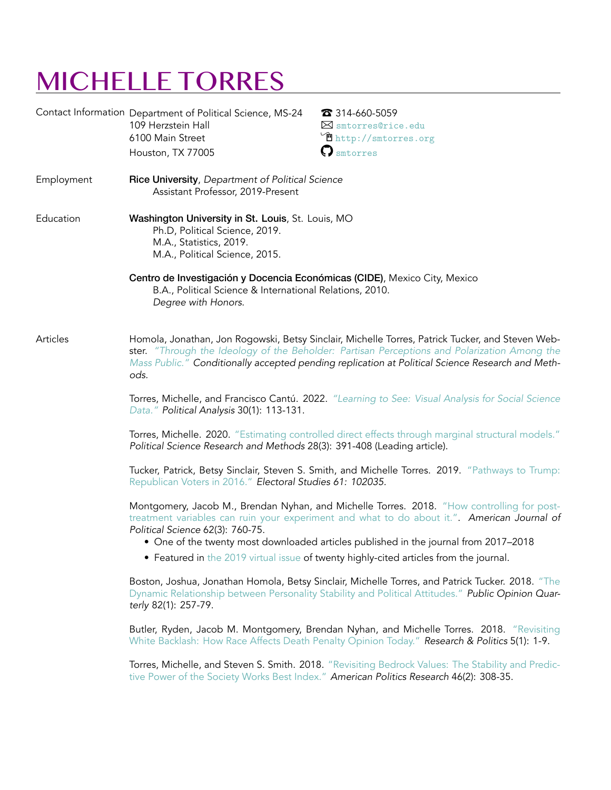## MICHELLE TORRES

|            | Contact Information Department of Political Science, MS-24<br>109 Herzstein Hall<br>6100 Main Street<br>Houston, TX 77005                                    | 314-660-5059<br>$\boxtimes$ smtorres@rice.edu<br>nttp://smtorres.org<br>$\boldsymbol{\mathsf{Q}}$ smtorres                                                                                                                                                                                                                                                                  |  |
|------------|--------------------------------------------------------------------------------------------------------------------------------------------------------------|-----------------------------------------------------------------------------------------------------------------------------------------------------------------------------------------------------------------------------------------------------------------------------------------------------------------------------------------------------------------------------|--|
| Employment | Rice University, Department of Political Science<br>Assistant Professor, 2019-Present                                                                        |                                                                                                                                                                                                                                                                                                                                                                             |  |
| Education  | Washington University in St. Louis, St. Louis, MO<br>Ph.D, Political Science, 2019.<br>M.A., Statistics, 2019.<br>M.A., Political Science, 2015.             |                                                                                                                                                                                                                                                                                                                                                                             |  |
|            | Centro de Investigación y Docencia Económicas (CIDE), Mexico City, Mexico<br>B.A., Political Science & International Relations, 2010.<br>Degree with Honors. |                                                                                                                                                                                                                                                                                                                                                                             |  |
| Articles   | ods.                                                                                                                                                         | Homola, Jonathan, Jon Rogowski, Betsy Sinclair, Michelle Torres, Patrick Tucker, and Steven Web-<br>ster. "Through the Ideology of the Beholder: Partisan Perceptions and Polarization Among the<br>Mass Public." Conditionally accepted pending replication at Political Science Research and Meth-                                                                        |  |
|            | Data." Political Analysis 30(1): 113-131.                                                                                                                    | Torres, Michelle, and Francisco Cantú. 2022. "Learning to See: Visual Analysis for Social Science                                                                                                                                                                                                                                                                           |  |
|            | Political Science Research and Methods 28(3): 391-408 (Leading article).                                                                                     | Torres, Michelle. 2020. "Estimating controlled direct effects through marginal structural models."                                                                                                                                                                                                                                                                          |  |
|            | Republican Voters in 2016." Electoral Studies 61: 102035.                                                                                                    | Tucker, Patrick, Betsy Sinclair, Steven S. Smith, and Michelle Torres. 2019. "Pathways to Trump:                                                                                                                                                                                                                                                                            |  |
|            | Political Science 62(3): 760-75.                                                                                                                             | Montgomery, Jacob M., Brendan Nyhan, and Michelle Torres. 2018. "How controlling for post-<br>treatment variables can ruin your experiment and what to do about it.". American Journal of<br>• One of the twenty most downloaded articles published in the journal from 2017-2018<br>• Featured in the 2019 virtual issue of twenty highly-cited articles from the journal. |  |
|            | terly 82(1): 257-79.                                                                                                                                         | Boston, Joshua, Jonathan Homola, Betsy Sinclair, Michelle Torres, and Patrick Tucker. 2018. "The<br>Dynamic Relationship between Personality Stability and Political Attitudes." Public Opinion Quar-                                                                                                                                                                       |  |
|            |                                                                                                                                                              | Butler, Ryden, Jacob M. Montgomery, Brendan Nyhan, and Michelle Torres. 2018. "Revisiting<br>White Backlash: How Race Affects Death Penalty Opinion Today." Research & Politics 5(1): 1-9.                                                                                                                                                                                  |  |
|            |                                                                                                                                                              | Torres, Michelle, and Steven S. Smith. 2018. "Revisiting Bedrock Values: The Stability and Predic-<br>tive Power of the Society Works Best Index." American Politics Research 46(2): 308-35.                                                                                                                                                                                |  |
|            |                                                                                                                                                              |                                                                                                                                                                                                                                                                                                                                                                             |  |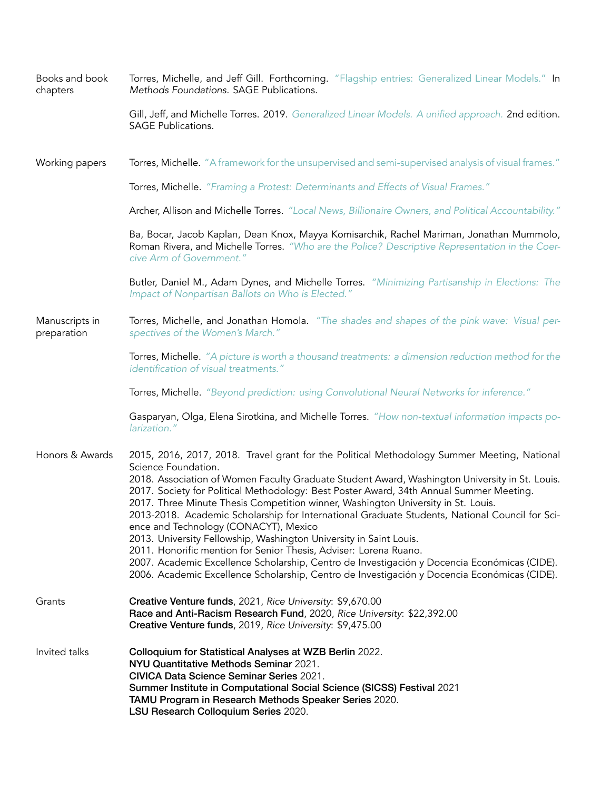| Books and book<br>chapters    | Torres, Michelle, and Jeff Gill. Forthcoming. "Flagship entries: Generalized Linear Models." In<br>Methods Foundations. SAGE Publications.                                                                                                                                                                                                                                                                                                                                                                                                                                                                                                                                                                                                                                                                                                                                                 |
|-------------------------------|--------------------------------------------------------------------------------------------------------------------------------------------------------------------------------------------------------------------------------------------------------------------------------------------------------------------------------------------------------------------------------------------------------------------------------------------------------------------------------------------------------------------------------------------------------------------------------------------------------------------------------------------------------------------------------------------------------------------------------------------------------------------------------------------------------------------------------------------------------------------------------------------|
|                               | Gill, Jeff, and Michelle Torres. 2019. Generalized Linear Models. A unified approach. 2nd edition.<br><b>SAGE Publications.</b>                                                                                                                                                                                                                                                                                                                                                                                                                                                                                                                                                                                                                                                                                                                                                            |
| Working papers                | Torres, Michelle. "A framework for the unsupervised and semi-supervised analysis of visual frames."                                                                                                                                                                                                                                                                                                                                                                                                                                                                                                                                                                                                                                                                                                                                                                                        |
|                               | Torres, Michelle. "Framing a Protest: Determinants and Effects of Visual Frames."                                                                                                                                                                                                                                                                                                                                                                                                                                                                                                                                                                                                                                                                                                                                                                                                          |
|                               | Archer, Allison and Michelle Torres. "Local News, Billionaire Owners, and Political Accountability."                                                                                                                                                                                                                                                                                                                                                                                                                                                                                                                                                                                                                                                                                                                                                                                       |
|                               | Ba, Bocar, Jacob Kaplan, Dean Knox, Mayya Komisarchik, Rachel Mariman, Jonathan Mummolo,<br>Roman Rivera, and Michelle Torres. "Who are the Police? Descriptive Representation in the Coer-<br>cive Arm of Government."                                                                                                                                                                                                                                                                                                                                                                                                                                                                                                                                                                                                                                                                    |
|                               | Butler, Daniel M., Adam Dynes, and Michelle Torres. "Minimizing Partisanship in Elections: The<br>Impact of Nonpartisan Ballots on Who is Elected."                                                                                                                                                                                                                                                                                                                                                                                                                                                                                                                                                                                                                                                                                                                                        |
| Manuscripts in<br>preparation | Torres, Michelle, and Jonathan Homola. "The shades and shapes of the pink wave: Visual per-<br>spectives of the Women's March."                                                                                                                                                                                                                                                                                                                                                                                                                                                                                                                                                                                                                                                                                                                                                            |
|                               | Torres, Michelle. "A picture is worth a thousand treatments: a dimension reduction method for the<br>identification of visual treatments."                                                                                                                                                                                                                                                                                                                                                                                                                                                                                                                                                                                                                                                                                                                                                 |
|                               | Torres, Michelle. "Beyond prediction: using Convolutional Neural Networks for inference."                                                                                                                                                                                                                                                                                                                                                                                                                                                                                                                                                                                                                                                                                                                                                                                                  |
|                               | Gasparyan, Olga, Elena Sirotkina, and Michelle Torres. "How non-textual information impacts po-<br>larization."                                                                                                                                                                                                                                                                                                                                                                                                                                                                                                                                                                                                                                                                                                                                                                            |
| Honors & Awards               | 2015, 2016, 2017, 2018. Travel grant for the Political Methodology Summer Meeting, National<br>Science Foundation.<br>2018. Association of Women Faculty Graduate Student Award, Washington University in St. Louis.<br>2017. Society for Political Methodology: Best Poster Award, 34th Annual Summer Meeting.<br>2017. Three Minute Thesis Competition winner, Washington University in St. Louis.<br>2013-2018. Academic Scholarship for International Graduate Students, National Council for Sci-<br>ence and Technology (CONACYT), Mexico<br>2013. University Fellowship, Washington University in Saint Louis.<br>2011. Honorific mention for Senior Thesis, Adviser: Lorena Ruano.<br>2007. Academic Excellence Scholarship, Centro de Investigación y Docencia Económicas (CIDE).<br>2006. Academic Excellence Scholarship, Centro de Investigación y Docencia Económicas (CIDE). |
| Grants                        | Creative Venture funds, 2021, Rice University: \$9,670.00<br>Race and Anti-Racism Research Fund, 2020, Rice University: \$22,392.00<br>Creative Venture funds, 2019, Rice University: \$9,475.00                                                                                                                                                                                                                                                                                                                                                                                                                                                                                                                                                                                                                                                                                           |
| Invited talks                 | Colloquium for Statistical Analyses at WZB Berlin 2022.<br>NYU Quantitative Methods Seminar 2021.<br>CIVICA Data Science Seminar Series 2021.<br>Summer Institute in Computational Social Science (SICSS) Festival 2021<br>TAMU Program in Research Methods Speaker Series 2020.<br>LSU Research Colloquium Series 2020.                                                                                                                                                                                                                                                                                                                                                                                                                                                                                                                                                                   |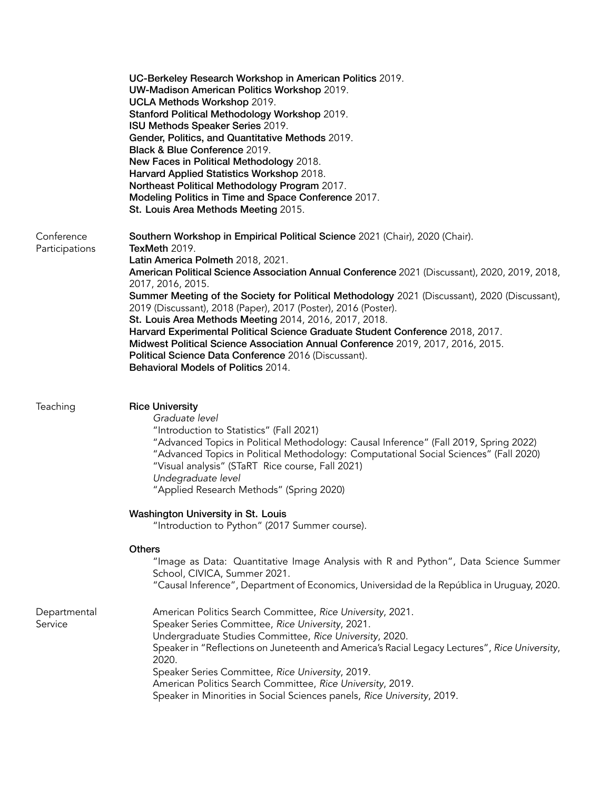|                              | UC-Berkeley Research Workshop in American Politics 2019.<br><b>UW-Madison American Politics Workshop 2019.</b><br>UCLA Methods Workshop 2019.<br>Stanford Political Methodology Workshop 2019.<br>ISU Methods Speaker Series 2019.<br>Gender, Politics, and Quantitative Methods 2019.<br>Black & Blue Conference 2019.<br>New Faces in Political Methodology 2018.<br>Harvard Applied Statistics Workshop 2018.<br>Northeast Political Methodology Program 2017.<br>Modeling Politics in Time and Space Conference 2017.<br>St. Louis Area Methods Meeting 2015.                                                                                                                                                                                                |
|------------------------------|------------------------------------------------------------------------------------------------------------------------------------------------------------------------------------------------------------------------------------------------------------------------------------------------------------------------------------------------------------------------------------------------------------------------------------------------------------------------------------------------------------------------------------------------------------------------------------------------------------------------------------------------------------------------------------------------------------------------------------------------------------------|
| Conference<br>Participations | Southern Workshop in Empirical Political Science 2021 (Chair), 2020 (Chair).<br>TexMeth 2019.<br>Latin America Polmeth 2018, 2021.<br>American Political Science Association Annual Conference 2021 (Discussant), 2020, 2019, 2018,<br>2017, 2016, 2015.<br>Summer Meeting of the Society for Political Methodology 2021 (Discussant), 2020 (Discussant),<br>2019 (Discussant), 2018 (Paper), 2017 (Poster), 2016 (Poster).<br>St. Louis Area Methods Meeting 2014, 2016, 2017, 2018.<br>Harvard Experimental Political Science Graduate Student Conference 2018, 2017.<br>Midwest Political Science Association Annual Conference 2019, 2017, 2016, 2015.<br>Political Science Data Conference 2016 (Discussant).<br><b>Behavioral Models of Politics 2014.</b> |
| Teaching                     | <b>Rice University</b><br>Graduate level<br>"Introduction to Statistics" (Fall 2021)<br>"Advanced Topics in Political Methodology: Causal Inference" (Fall 2019, Spring 2022)<br>"Advanced Topics in Political Methodology: Computational Social Sciences" (Fall 2020)<br>"Visual analysis" (STaRT Rice course, Fall 2021)<br>Undegraduate level<br>"Applied Research Methods" (Spring 2020)<br><b>Washington University in St. Louis</b><br>"Introduction to Python" (2017 Summer course).<br><b>Others</b><br>"Image as Data: Quantitative Image Analysis with R and Python", Data Science Summer<br>School, CIVICA, Summer 2021.<br>"Causal Inference", Department of Economics, Universidad de la República in Uruguay, 2020.                                |
| Departmental<br>Service      | American Politics Search Committee, Rice University, 2021.<br>Speaker Series Committee, Rice University, 2021.<br>Undergraduate Studies Committee, Rice University, 2020.<br>Speaker in "Reflections on Juneteenth and America's Racial Legacy Lectures", Rice University,<br>2020.<br>Speaker Series Committee, Rice University, 2019.<br>American Politics Search Committee, Rice University, 2019.<br>Speaker in Minorities in Social Sciences panels, Rice University, 2019.                                                                                                                                                                                                                                                                                 |